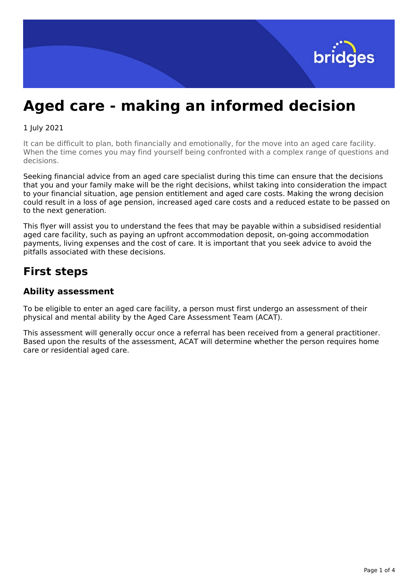

# **Aged care - making an informed decision**

#### 1 July 2021

It can be difficult to plan, both financially and emotionally, for the move into an aged care facility. When the time comes you may find yourself being confronted with a complex range of questions and decisions.

Seeking financial advice from an aged care specialist during this time can ensure that the decisions that you and your family make will be the right decisions, whilst taking into consideration the impact to your financial situation, age pension entitlement and aged care costs. Making the wrong decision could result in a loss of age pension, increased aged care costs and a reduced estate to be passed on to the next generation.

This flyer will assist you to understand the fees that may be payable within a subsidised residential aged care facility, such as paying an upfront accommodation deposit, on-going accommodation payments, living expenses and the cost of care. It is important that you seek advice to avoid the pitfalls associated with these decisions.

# **First steps**

## **Ability assessment**

To be eligible to enter an aged care facility, a person must first undergo an assessment of their physical and mental ability by the Aged Care Assessment Team (ACAT).

This assessment will generally occur once a referral has been received from a general practitioner. Based upon the results of the assessment, ACAT will determine whether the person requires home care or residential aged care.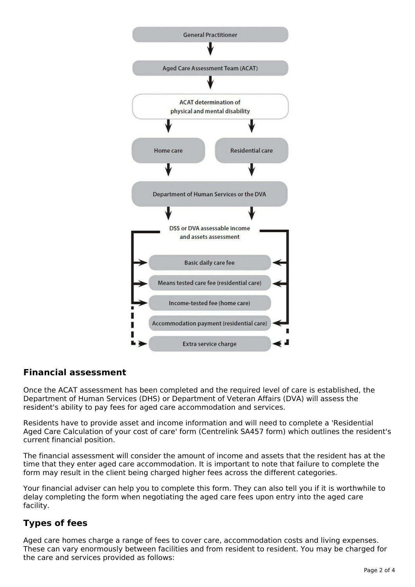

# **Financial assessment**

Once the ACAT assessment has been completed and the required level of care is established, the Department of Human Services (DHS) or Department of Veteran Affairs (DVA) will assess the resident's ability to pay fees for aged care accommodation and services.

Residents have to provide asset and income information and will need to complete a 'Residential Aged Care Calculation of your cost of care' form (Centrelink SA457 form) which outlines the resident's current financial position.

The financial assessment will consider the amount of income and assets that the resident has at the time that they enter aged care accommodation. It is important to note that failure to complete the form may result in the client being charged higher fees across the different categories.

Your financial adviser can help you to complete this form. They can also tell you if it is worthwhile to delay completing the form when negotiating the aged care fees upon entry into the aged care facility.

# **Types of fees**

Aged care homes charge a range of fees to cover care, accommodation costs and living expenses. These can vary enormously between facilities and from resident to resident. You may be charged for the care and services provided as follows: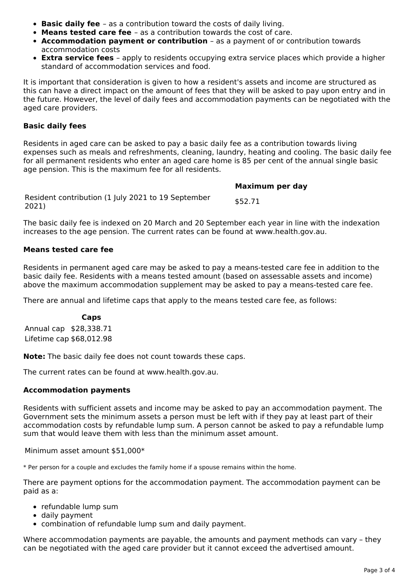- **Basic daily fee** as a contribution toward the costs of daily living.
- **Means tested care fee** as a contribution towards the cost of care.
- **Accommodation payment or contribution** as a payment of or contribution towards accommodation costs
- **Extra service fees** apply to residents occupying extra service places which provide a higher standard of accommodation services and food.

It is important that consideration is given to how a resident's assets and income are structured as this can have a direct impact on the amount of fees that they will be asked to pay upon entry and in the future. However, the level of daily fees and accommodation payments can be negotiated with the aged care providers.

#### **Basic daily fees**

Residents in aged care can be asked to pay a basic daily fee as a contribution towards living expenses such as meals and refreshments, cleaning, laundry, heating and cooling. The basic daily fee for all permanent residents who enter an aged care home is 85 per cent of the annual single basic age pension. This is the maximum fee for all residents.

**Maximum per day** Resident contribution (1 July 2021 to 19 September 2021) \$52.71

The basic daily fee is indexed on 20 March and 20 September each year in line with the indexation increases to the age pension. The current rates can be found at www.health.gov.au.

#### **Means tested care fee**

Residents in permanent aged care may be asked to pay a means-tested care fee in addition to the basic daily fee. Residents with a means tested amount (based on assessable assets and income) above the maximum accommodation supplement may be asked to pay a means-tested care fee.

There are annual and lifetime caps that apply to the means tested care fee, as follows:

#### **Caps**

Annual cap \$28,338.71 Lifetime cap \$68,012.98

**Note:** The basic daily fee does not count towards these caps.

The current rates can be found at www.health.gov.au.

#### **Accommodation payments**

Residents with sufficient assets and income may be asked to pay an accommodation payment. The Government sets the minimum assets a person must be left with if they pay at least part of their accommodation costs by refundable lump sum. A person cannot be asked to pay a refundable lump sum that would leave them with less than the minimum asset amount.

#### Minimum asset amount \$51,000\*

\* Per person for a couple and excludes the family home if a spouse remains within the home.

There are payment options for the accommodation payment. The accommodation payment can be paid as a:

- refundable lump sum
- daily payment
- combination of refundable lump sum and daily payment.

Where accommodation payments are payable, the amounts and payment methods can vary – they can be negotiated with the aged care provider but it cannot exceed the advertised amount.